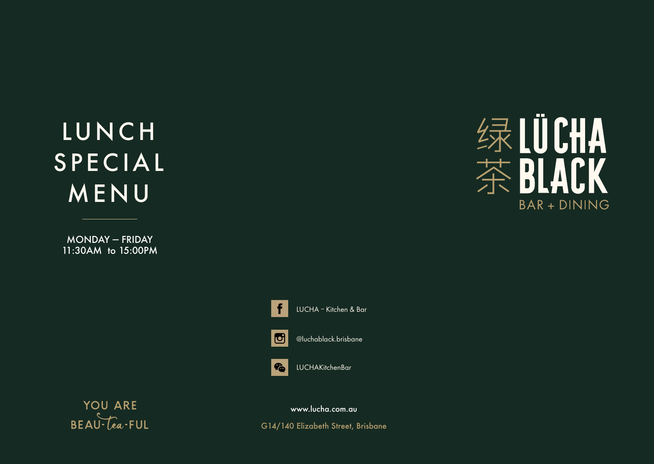# LUNCH SPECIAL MENU

MONDAY — FRIDAY 11:30AM to 15:00PM







@luchablack.brisbane



**YOU ARE**  $BEAU$   $\overline{[ea\cdot FUL]}$ 

www.lucha.com.au

G14/140 Elizabeth Street, Brisbane